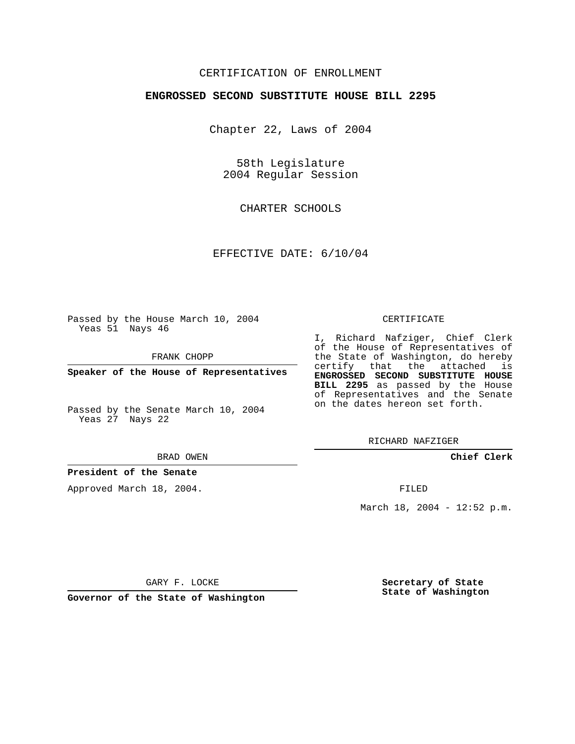# CERTIFICATION OF ENROLLMENT

### **ENGROSSED SECOND SUBSTITUTE HOUSE BILL 2295**

Chapter 22, Laws of 2004

58th Legislature 2004 Regular Session

CHARTER SCHOOLS

EFFECTIVE DATE: 6/10/04

Passed by the House March 10, 2004 Yeas 51 Nays 46

FRANK CHOPP

**Speaker of the House of Representatives**

Passed by the Senate March 10, 2004 Yeas 27 Nays 22

BRAD OWEN

## **President of the Senate**

Approved March 18, 2004.

#### CERTIFICATE

I, Richard Nafziger, Chief Clerk of the House of Representatives of the State of Washington, do hereby certify that the attached is **ENGROSSED SECOND SUBSTITUTE HOUSE BILL 2295** as passed by the House of Representatives and the Senate on the dates hereon set forth.

RICHARD NAFZIGER

**Chief Clerk**

FILED

March 18, 2004 - 12:52 p.m.

GARY F. LOCKE

**Governor of the State of Washington**

**Secretary of State State of Washington**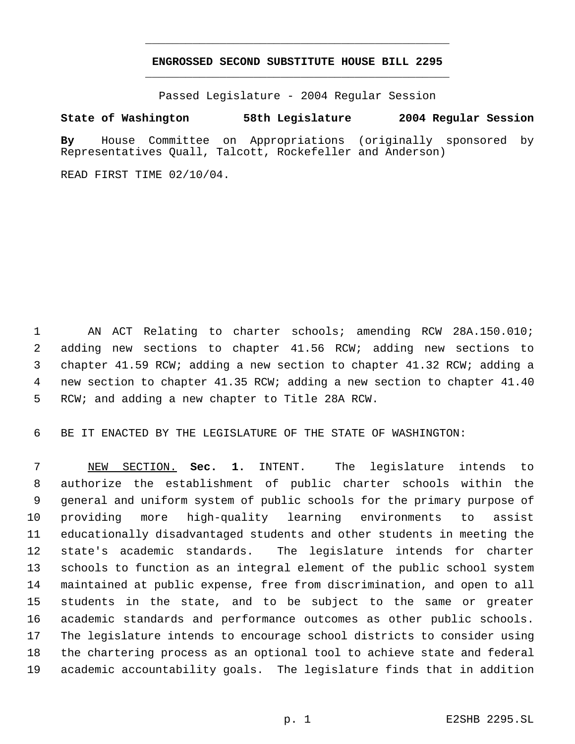# **ENGROSSED SECOND SUBSTITUTE HOUSE BILL 2295** \_\_\_\_\_\_\_\_\_\_\_\_\_\_\_\_\_\_\_\_\_\_\_\_\_\_\_\_\_\_\_\_\_\_\_\_\_\_\_\_\_\_\_\_\_

\_\_\_\_\_\_\_\_\_\_\_\_\_\_\_\_\_\_\_\_\_\_\_\_\_\_\_\_\_\_\_\_\_\_\_\_\_\_\_\_\_\_\_\_\_

Passed Legislature - 2004 Regular Session

## **State of Washington 58th Legislature 2004 Regular Session**

**By** House Committee on Appropriations (originally sponsored by Representatives Quall, Talcott, Rockefeller and Anderson)

READ FIRST TIME 02/10/04.

 AN ACT Relating to charter schools; amending RCW 28A.150.010; adding new sections to chapter 41.56 RCW; adding new sections to chapter 41.59 RCW; adding a new section to chapter 41.32 RCW; adding a new section to chapter 41.35 RCW; adding a new section to chapter 41.40 RCW; and adding a new chapter to Title 28A RCW.

BE IT ENACTED BY THE LEGISLATURE OF THE STATE OF WASHINGTON:

 NEW SECTION. **Sec. 1.** INTENT. The legislature intends to authorize the establishment of public charter schools within the general and uniform system of public schools for the primary purpose of providing more high-quality learning environments to assist educationally disadvantaged students and other students in meeting the state's academic standards. The legislature intends for charter schools to function as an integral element of the public school system maintained at public expense, free from discrimination, and open to all students in the state, and to be subject to the same or greater academic standards and performance outcomes as other public schools. The legislature intends to encourage school districts to consider using the chartering process as an optional tool to achieve state and federal academic accountability goals. The legislature finds that in addition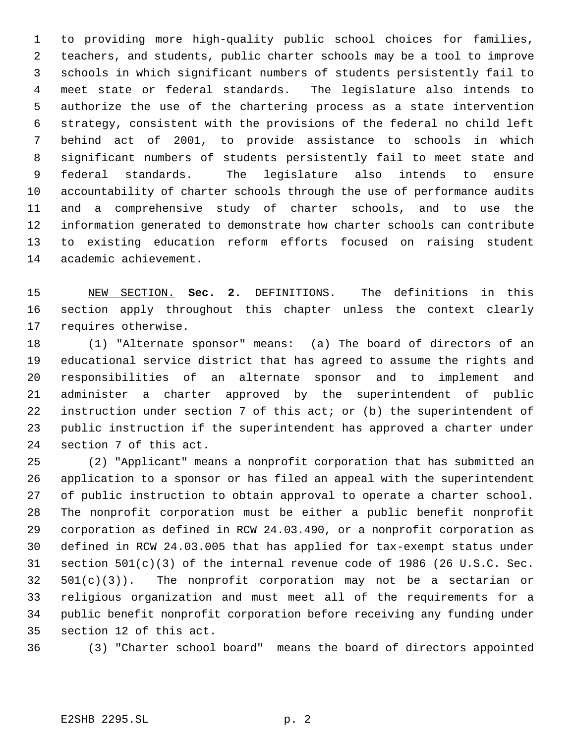to providing more high-quality public school choices for families, teachers, and students, public charter schools may be a tool to improve schools in which significant numbers of students persistently fail to meet state or federal standards. The legislature also intends to authorize the use of the chartering process as a state intervention strategy, consistent with the provisions of the federal no child left behind act of 2001, to provide assistance to schools in which significant numbers of students persistently fail to meet state and federal standards. The legislature also intends to ensure accountability of charter schools through the use of performance audits and a comprehensive study of charter schools, and to use the information generated to demonstrate how charter schools can contribute to existing education reform efforts focused on raising student academic achievement.

 NEW SECTION. **Sec. 2.** DEFINITIONS. The definitions in this section apply throughout this chapter unless the context clearly requires otherwise.

 (1) "Alternate sponsor" means: (a) The board of directors of an educational service district that has agreed to assume the rights and responsibilities of an alternate sponsor and to implement and administer a charter approved by the superintendent of public instruction under section 7 of this act; or (b) the superintendent of public instruction if the superintendent has approved a charter under section 7 of this act.

 (2) "Applicant" means a nonprofit corporation that has submitted an application to a sponsor or has filed an appeal with the superintendent of public instruction to obtain approval to operate a charter school. The nonprofit corporation must be either a public benefit nonprofit corporation as defined in RCW 24.03.490, or a nonprofit corporation as defined in RCW 24.03.005 that has applied for tax-exempt status under section 501(c)(3) of the internal revenue code of 1986 (26 U.S.C. Sec. 501(c)(3)). The nonprofit corporation may not be a sectarian or religious organization and must meet all of the requirements for a public benefit nonprofit corporation before receiving any funding under section 12 of this act.

(3) "Charter school board" means the board of directors appointed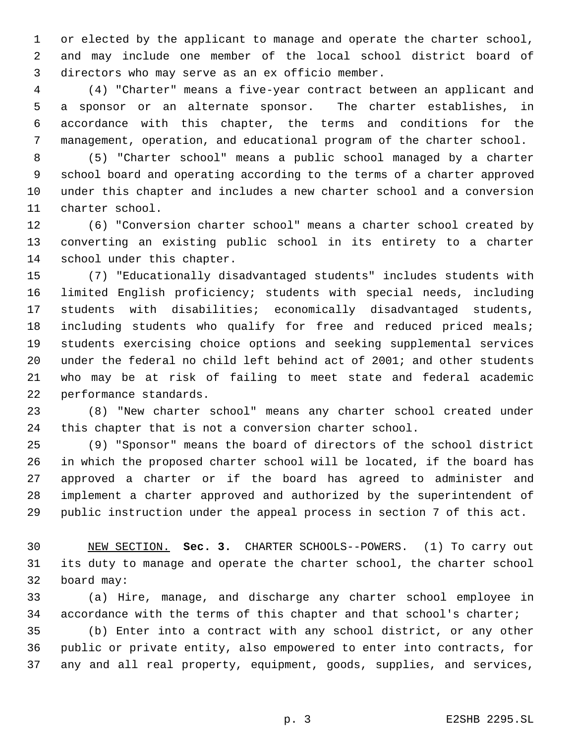or elected by the applicant to manage and operate the charter school, and may include one member of the local school district board of directors who may serve as an ex officio member.

 (4) "Charter" means a five-year contract between an applicant and a sponsor or an alternate sponsor. The charter establishes, in accordance with this chapter, the terms and conditions for the management, operation, and educational program of the charter school.

 (5) "Charter school" means a public school managed by a charter school board and operating according to the terms of a charter approved under this chapter and includes a new charter school and a conversion charter school.

 (6) "Conversion charter school" means a charter school created by converting an existing public school in its entirety to a charter school under this chapter.

 (7) "Educationally disadvantaged students" includes students with limited English proficiency; students with special needs, including students with disabilities; economically disadvantaged students, including students who qualify for free and reduced priced meals; students exercising choice options and seeking supplemental services under the federal no child left behind act of 2001; and other students who may be at risk of failing to meet state and federal academic performance standards.

 (8) "New charter school" means any charter school created under this chapter that is not a conversion charter school.

 (9) "Sponsor" means the board of directors of the school district in which the proposed charter school will be located, if the board has approved a charter or if the board has agreed to administer and implement a charter approved and authorized by the superintendent of public instruction under the appeal process in section 7 of this act.

 NEW SECTION. **Sec. 3.** CHARTER SCHOOLS--POWERS. (1) To carry out its duty to manage and operate the charter school, the charter school board may:

 (a) Hire, manage, and discharge any charter school employee in accordance with the terms of this chapter and that school's charter;

 (b) Enter into a contract with any school district, or any other public or private entity, also empowered to enter into contracts, for any and all real property, equipment, goods, supplies, and services,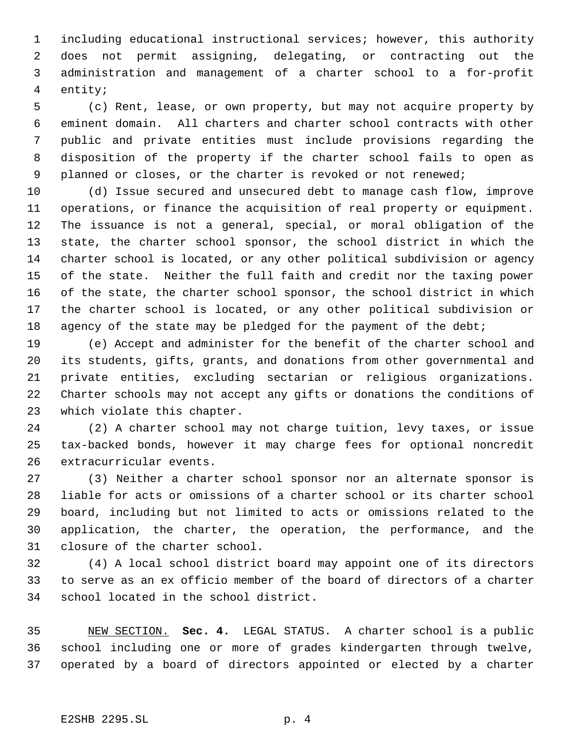including educational instructional services; however, this authority does not permit assigning, delegating, or contracting out the administration and management of a charter school to a for-profit entity;

 (c) Rent, lease, or own property, but may not acquire property by eminent domain. All charters and charter school contracts with other public and private entities must include provisions regarding the disposition of the property if the charter school fails to open as planned or closes, or the charter is revoked or not renewed;

 (d) Issue secured and unsecured debt to manage cash flow, improve operations, or finance the acquisition of real property or equipment. The issuance is not a general, special, or moral obligation of the state, the charter school sponsor, the school district in which the charter school is located, or any other political subdivision or agency of the state. Neither the full faith and credit nor the taxing power of the state, the charter school sponsor, the school district in which the charter school is located, or any other political subdivision or 18 agency of the state may be pledged for the payment of the debt;

 (e) Accept and administer for the benefit of the charter school and its students, gifts, grants, and donations from other governmental and private entities, excluding sectarian or religious organizations. Charter schools may not accept any gifts or donations the conditions of which violate this chapter.

 (2) A charter school may not charge tuition, levy taxes, or issue tax-backed bonds, however it may charge fees for optional noncredit extracurricular events.

 (3) Neither a charter school sponsor nor an alternate sponsor is liable for acts or omissions of a charter school or its charter school board, including but not limited to acts or omissions related to the application, the charter, the operation, the performance, and the closure of the charter school.

 (4) A local school district board may appoint one of its directors to serve as an ex officio member of the board of directors of a charter school located in the school district.

 NEW SECTION. **Sec. 4.** LEGAL STATUS. A charter school is a public school including one or more of grades kindergarten through twelve, operated by a board of directors appointed or elected by a charter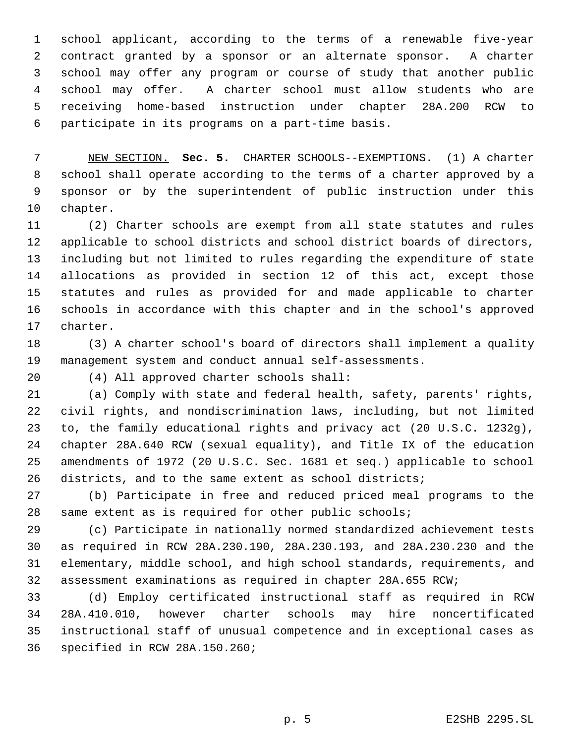school applicant, according to the terms of a renewable five-year contract granted by a sponsor or an alternate sponsor. A charter school may offer any program or course of study that another public school may offer. A charter school must allow students who are receiving home-based instruction under chapter 28A.200 RCW to participate in its programs on a part-time basis.

 NEW SECTION. **Sec. 5.** CHARTER SCHOOLS--EXEMPTIONS. (1) A charter school shall operate according to the terms of a charter approved by a sponsor or by the superintendent of public instruction under this chapter.

 (2) Charter schools are exempt from all state statutes and rules applicable to school districts and school district boards of directors, including but not limited to rules regarding the expenditure of state allocations as provided in section 12 of this act, except those statutes and rules as provided for and made applicable to charter schools in accordance with this chapter and in the school's approved charter.

 (3) A charter school's board of directors shall implement a quality management system and conduct annual self-assessments.

(4) All approved charter schools shall:

 (a) Comply with state and federal health, safety, parents' rights, civil rights, and nondiscrimination laws, including, but not limited to, the family educational rights and privacy act (20 U.S.C. 1232g), chapter 28A.640 RCW (sexual equality), and Title IX of the education amendments of 1972 (20 U.S.C. Sec. 1681 et seq.) applicable to school districts, and to the same extent as school districts;

 (b) Participate in free and reduced priced meal programs to the same extent as is required for other public schools;

 (c) Participate in nationally normed standardized achievement tests as required in RCW 28A.230.190, 28A.230.193, and 28A.230.230 and the elementary, middle school, and high school standards, requirements, and assessment examinations as required in chapter 28A.655 RCW;

 (d) Employ certificated instructional staff as required in RCW 28A.410.010, however charter schools may hire noncertificated instructional staff of unusual competence and in exceptional cases as specified in RCW 28A.150.260;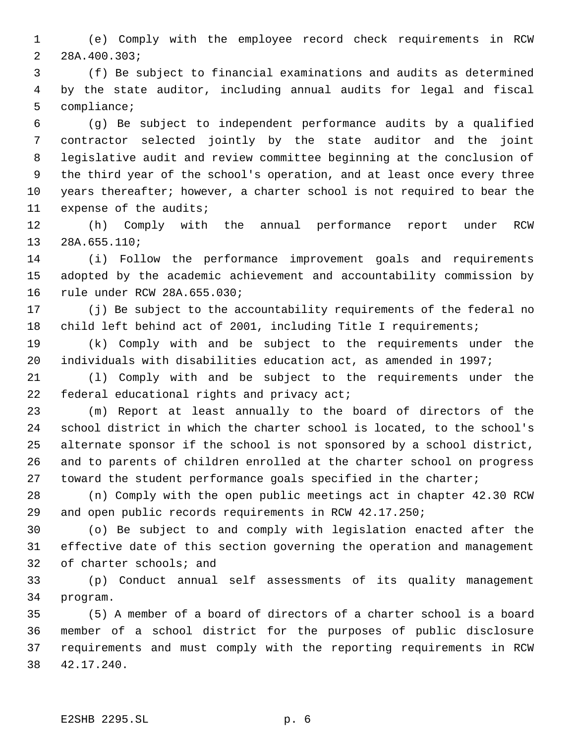(e) Comply with the employee record check requirements in RCW 28A.400.303;

 (f) Be subject to financial examinations and audits as determined by the state auditor, including annual audits for legal and fiscal compliance;

 (g) Be subject to independent performance audits by a qualified contractor selected jointly by the state auditor and the joint legislative audit and review committee beginning at the conclusion of the third year of the school's operation, and at least once every three years thereafter; however, a charter school is not required to bear the expense of the audits;

 (h) Comply with the annual performance report under RCW 28A.655.110;

 (i) Follow the performance improvement goals and requirements adopted by the academic achievement and accountability commission by rule under RCW 28A.655.030;

 (j) Be subject to the accountability requirements of the federal no child left behind act of 2001, including Title I requirements;

 (k) Comply with and be subject to the requirements under the individuals with disabilities education act, as amended in 1997;

 (l) Comply with and be subject to the requirements under the 22 federal educational rights and privacy act;

 (m) Report at least annually to the board of directors of the school district in which the charter school is located, to the school's alternate sponsor if the school is not sponsored by a school district, and to parents of children enrolled at the charter school on progress toward the student performance goals specified in the charter;

 (n) Comply with the open public meetings act in chapter 42.30 RCW and open public records requirements in RCW 42.17.250;

 (o) Be subject to and comply with legislation enacted after the effective date of this section governing the operation and management of charter schools; and

 (p) Conduct annual self assessments of its quality management program.

 (5) A member of a board of directors of a charter school is a board member of a school district for the purposes of public disclosure requirements and must comply with the reporting requirements in RCW 42.17.240.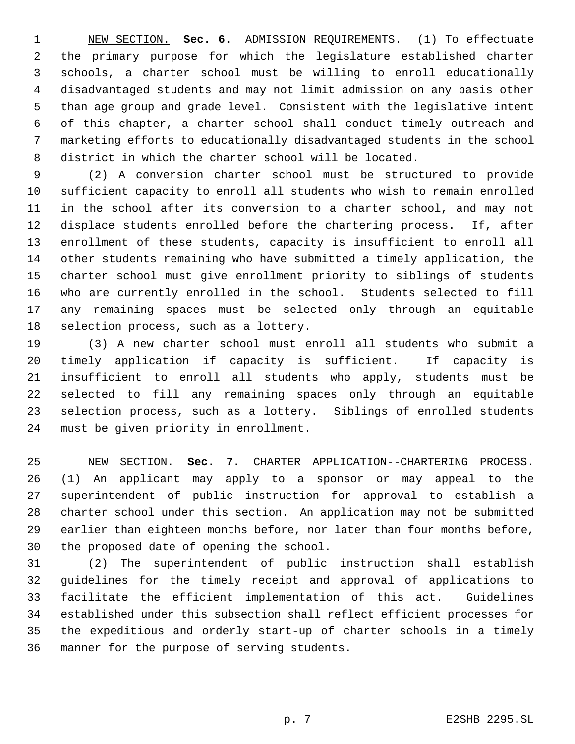NEW SECTION. **Sec. 6.** ADMISSION REQUIREMENTS. (1) To effectuate the primary purpose for which the legislature established charter schools, a charter school must be willing to enroll educationally disadvantaged students and may not limit admission on any basis other than age group and grade level. Consistent with the legislative intent of this chapter, a charter school shall conduct timely outreach and marketing efforts to educationally disadvantaged students in the school district in which the charter school will be located.

 (2) A conversion charter school must be structured to provide sufficient capacity to enroll all students who wish to remain enrolled in the school after its conversion to a charter school, and may not displace students enrolled before the chartering process. If, after enrollment of these students, capacity is insufficient to enroll all other students remaining who have submitted a timely application, the charter school must give enrollment priority to siblings of students who are currently enrolled in the school. Students selected to fill any remaining spaces must be selected only through an equitable selection process, such as a lottery.

 (3) A new charter school must enroll all students who submit a timely application if capacity is sufficient. If capacity is insufficient to enroll all students who apply, students must be selected to fill any remaining spaces only through an equitable selection process, such as a lottery. Siblings of enrolled students must be given priority in enrollment.

 NEW SECTION. **Sec. 7.** CHARTER APPLICATION--CHARTERING PROCESS. (1) An applicant may apply to a sponsor or may appeal to the superintendent of public instruction for approval to establish a charter school under this section. An application may not be submitted earlier than eighteen months before, nor later than four months before, the proposed date of opening the school.

 (2) The superintendent of public instruction shall establish guidelines for the timely receipt and approval of applications to facilitate the efficient implementation of this act. Guidelines established under this subsection shall reflect efficient processes for the expeditious and orderly start-up of charter schools in a timely manner for the purpose of serving students.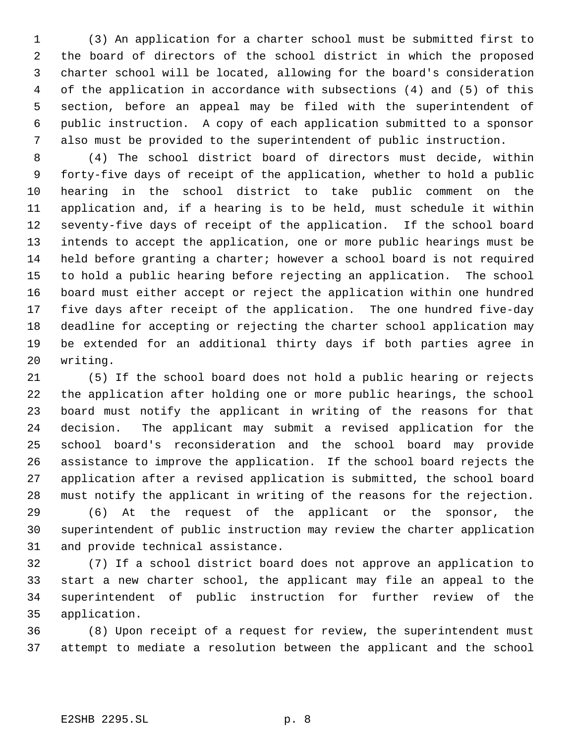(3) An application for a charter school must be submitted first to the board of directors of the school district in which the proposed charter school will be located, allowing for the board's consideration of the application in accordance with subsections (4) and (5) of this section, before an appeal may be filed with the superintendent of public instruction. A copy of each application submitted to a sponsor also must be provided to the superintendent of public instruction.

 (4) The school district board of directors must decide, within forty-five days of receipt of the application, whether to hold a public hearing in the school district to take public comment on the application and, if a hearing is to be held, must schedule it within seventy-five days of receipt of the application. If the school board intends to accept the application, one or more public hearings must be held before granting a charter; however a school board is not required to hold a public hearing before rejecting an application. The school board must either accept or reject the application within one hundred five days after receipt of the application. The one hundred five-day deadline for accepting or rejecting the charter school application may be extended for an additional thirty days if both parties agree in writing.

 (5) If the school board does not hold a public hearing or rejects the application after holding one or more public hearings, the school board must notify the applicant in writing of the reasons for that decision. The applicant may submit a revised application for the school board's reconsideration and the school board may provide assistance to improve the application. If the school board rejects the application after a revised application is submitted, the school board must notify the applicant in writing of the reasons for the rejection.

 (6) At the request of the applicant or the sponsor, the superintendent of public instruction may review the charter application and provide technical assistance.

 (7) If a school district board does not approve an application to start a new charter school, the applicant may file an appeal to the superintendent of public instruction for further review of the application.

 (8) Upon receipt of a request for review, the superintendent must attempt to mediate a resolution between the applicant and the school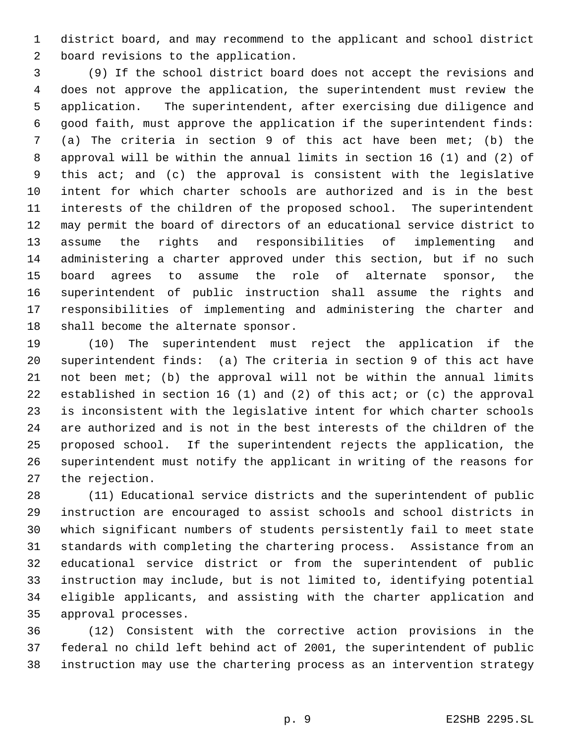district board, and may recommend to the applicant and school district board revisions to the application.

 (9) If the school district board does not accept the revisions and does not approve the application, the superintendent must review the application. The superintendent, after exercising due diligence and good faith, must approve the application if the superintendent finds: (a) The criteria in section 9 of this act have been met; (b) the approval will be within the annual limits in section 16 (1) and (2) of this act; and (c) the approval is consistent with the legislative intent for which charter schools are authorized and is in the best interests of the children of the proposed school. The superintendent may permit the board of directors of an educational service district to assume the rights and responsibilities of implementing and administering a charter approved under this section, but if no such board agrees to assume the role of alternate sponsor, the superintendent of public instruction shall assume the rights and responsibilities of implementing and administering the charter and shall become the alternate sponsor.

 (10) The superintendent must reject the application if the superintendent finds: (a) The criteria in section 9 of this act have not been met; (b) the approval will not be within the annual limits established in section 16 (1) and (2) of this act; or (c) the approval is inconsistent with the legislative intent for which charter schools are authorized and is not in the best interests of the children of the proposed school. If the superintendent rejects the application, the superintendent must notify the applicant in writing of the reasons for the rejection.

 (11) Educational service districts and the superintendent of public instruction are encouraged to assist schools and school districts in which significant numbers of students persistently fail to meet state standards with completing the chartering process. Assistance from an educational service district or from the superintendent of public instruction may include, but is not limited to, identifying potential eligible applicants, and assisting with the charter application and approval processes.

 (12) Consistent with the corrective action provisions in the federal no child left behind act of 2001, the superintendent of public instruction may use the chartering process as an intervention strategy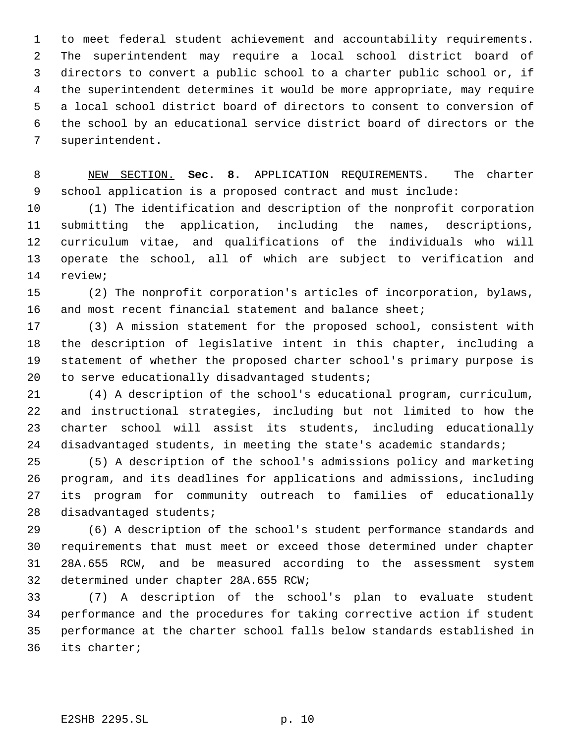to meet federal student achievement and accountability requirements. The superintendent may require a local school district board of directors to convert a public school to a charter public school or, if the superintendent determines it would be more appropriate, may require a local school district board of directors to consent to conversion of the school by an educational service district board of directors or the superintendent.

 NEW SECTION. **Sec. 8.** APPLICATION REQUIREMENTS. The charter school application is a proposed contract and must include:

 (1) The identification and description of the nonprofit corporation submitting the application, including the names, descriptions, curriculum vitae, and qualifications of the individuals who will operate the school, all of which are subject to verification and review;

 (2) The nonprofit corporation's articles of incorporation, bylaws, and most recent financial statement and balance sheet;

 (3) A mission statement for the proposed school, consistent with the description of legislative intent in this chapter, including a statement of whether the proposed charter school's primary purpose is 20 to serve educationally disadvantaged students;

 (4) A description of the school's educational program, curriculum, and instructional strategies, including but not limited to how the charter school will assist its students, including educationally 24 disadvantaged students, in meeting the state's academic standards;

 (5) A description of the school's admissions policy and marketing program, and its deadlines for applications and admissions, including its program for community outreach to families of educationally disadvantaged students;

 (6) A description of the school's student performance standards and requirements that must meet or exceed those determined under chapter 28A.655 RCW, and be measured according to the assessment system determined under chapter 28A.655 RCW;

 (7) A description of the school's plan to evaluate student performance and the procedures for taking corrective action if student performance at the charter school falls below standards established in its charter;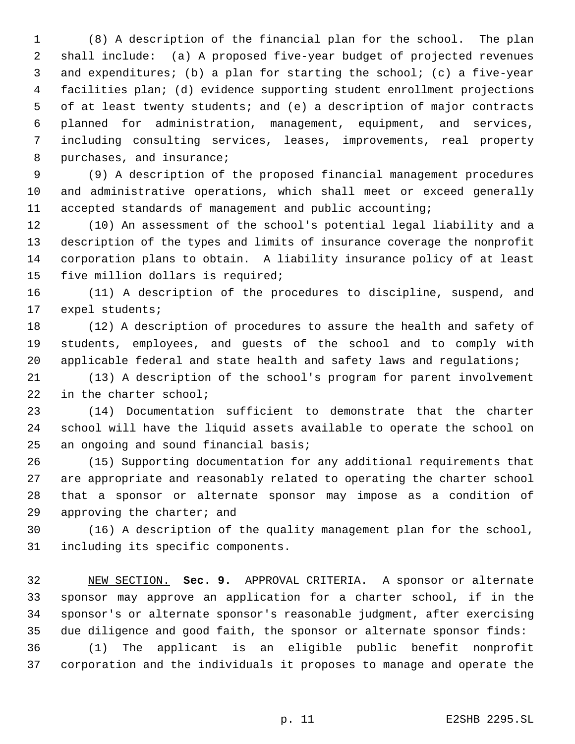(8) A description of the financial plan for the school. The plan shall include: (a) A proposed five-year budget of projected revenues and expenditures; (b) a plan for starting the school; (c) a five-year facilities plan; (d) evidence supporting student enrollment projections of at least twenty students; and (e) a description of major contracts planned for administration, management, equipment, and services, including consulting services, leases, improvements, real property purchases, and insurance;

 (9) A description of the proposed financial management procedures and administrative operations, which shall meet or exceed generally accepted standards of management and public accounting;

 (10) An assessment of the school's potential legal liability and a description of the types and limits of insurance coverage the nonprofit corporation plans to obtain. A liability insurance policy of at least five million dollars is required;

 (11) A description of the procedures to discipline, suspend, and expel students;

 (12) A description of procedures to assure the health and safety of students, employees, and guests of the school and to comply with 20 applicable federal and state health and safety laws and regulations;

 (13) A description of the school's program for parent involvement 22 in the charter school;

 (14) Documentation sufficient to demonstrate that the charter school will have the liquid assets available to operate the school on an ongoing and sound financial basis;

 (15) Supporting documentation for any additional requirements that are appropriate and reasonably related to operating the charter school that a sponsor or alternate sponsor may impose as a condition of approving the charter; and

 (16) A description of the quality management plan for the school, including its specific components.

 NEW SECTION. **Sec. 9.** APPROVAL CRITERIA. A sponsor or alternate sponsor may approve an application for a charter school, if in the sponsor's or alternate sponsor's reasonable judgment, after exercising due diligence and good faith, the sponsor or alternate sponsor finds: (1) The applicant is an eligible public benefit nonprofit

corporation and the individuals it proposes to manage and operate the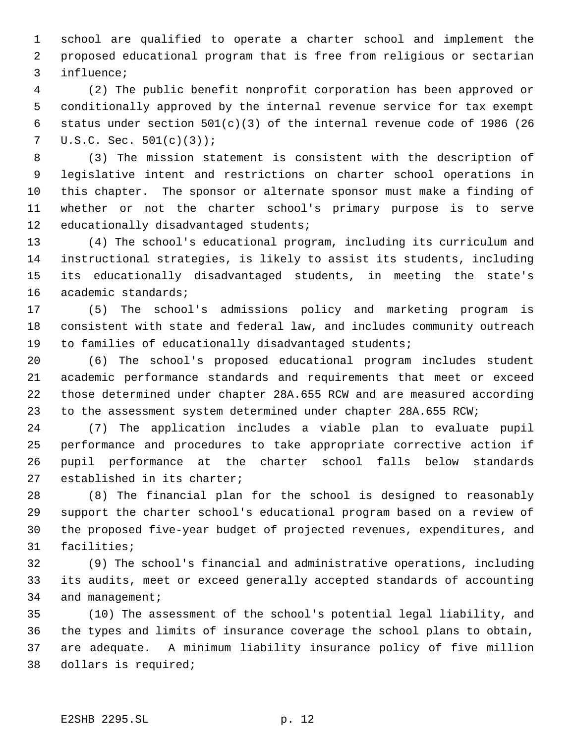school are qualified to operate a charter school and implement the proposed educational program that is free from religious or sectarian influence;

 (2) The public benefit nonprofit corporation has been approved or conditionally approved by the internal revenue service for tax exempt status under section 501(c)(3) of the internal revenue code of 1986 (26 7 U.S.C. Sec.  $501(c)(3)$ ;

 (3) The mission statement is consistent with the description of legislative intent and restrictions on charter school operations in this chapter. The sponsor or alternate sponsor must make a finding of whether or not the charter school's primary purpose is to serve educationally disadvantaged students;

 (4) The school's educational program, including its curriculum and instructional strategies, is likely to assist its students, including its educationally disadvantaged students, in meeting the state's academic standards;

 (5) The school's admissions policy and marketing program is consistent with state and federal law, and includes community outreach to families of educationally disadvantaged students;

 (6) The school's proposed educational program includes student academic performance standards and requirements that meet or exceed those determined under chapter 28A.655 RCW and are measured according to the assessment system determined under chapter 28A.655 RCW;

 (7) The application includes a viable plan to evaluate pupil performance and procedures to take appropriate corrective action if pupil performance at the charter school falls below standards established in its charter;

 (8) The financial plan for the school is designed to reasonably support the charter school's educational program based on a review of the proposed five-year budget of projected revenues, expenditures, and facilities;

 (9) The school's financial and administrative operations, including its audits, meet or exceed generally accepted standards of accounting 34 and management;

 (10) The assessment of the school's potential legal liability, and the types and limits of insurance coverage the school plans to obtain, are adequate. A minimum liability insurance policy of five million dollars is required;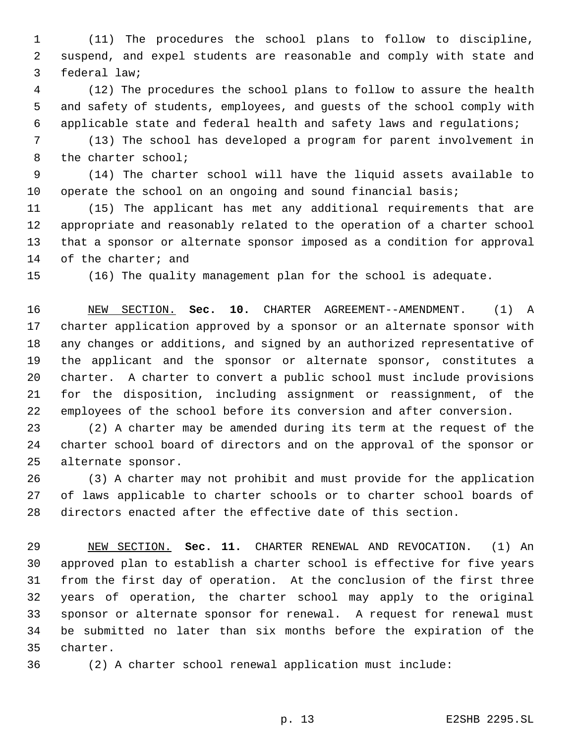(11) The procedures the school plans to follow to discipline, suspend, and expel students are reasonable and comply with state and federal law;

 (12) The procedures the school plans to follow to assure the health and safety of students, employees, and guests of the school comply with applicable state and federal health and safety laws and regulations;

 (13) The school has developed a program for parent involvement in the charter school;

 (14) The charter school will have the liquid assets available to operate the school on an ongoing and sound financial basis;

 (15) The applicant has met any additional requirements that are appropriate and reasonably related to the operation of a charter school that a sponsor or alternate sponsor imposed as a condition for approval of the charter; and

(16) The quality management plan for the school is adequate.

 NEW SECTION. **Sec. 10.** CHARTER AGREEMENT--AMENDMENT. (1) A charter application approved by a sponsor or an alternate sponsor with any changes or additions, and signed by an authorized representative of the applicant and the sponsor or alternate sponsor, constitutes a charter. A charter to convert a public school must include provisions for the disposition, including assignment or reassignment, of the employees of the school before its conversion and after conversion.

 (2) A charter may be amended during its term at the request of the charter school board of directors and on the approval of the sponsor or alternate sponsor.

 (3) A charter may not prohibit and must provide for the application of laws applicable to charter schools or to charter school boards of directors enacted after the effective date of this section.

 NEW SECTION. **Sec. 11.** CHARTER RENEWAL AND REVOCATION. (1) An approved plan to establish a charter school is effective for five years from the first day of operation. At the conclusion of the first three years of operation, the charter school may apply to the original sponsor or alternate sponsor for renewal. A request for renewal must be submitted no later than six months before the expiration of the charter.

(2) A charter school renewal application must include: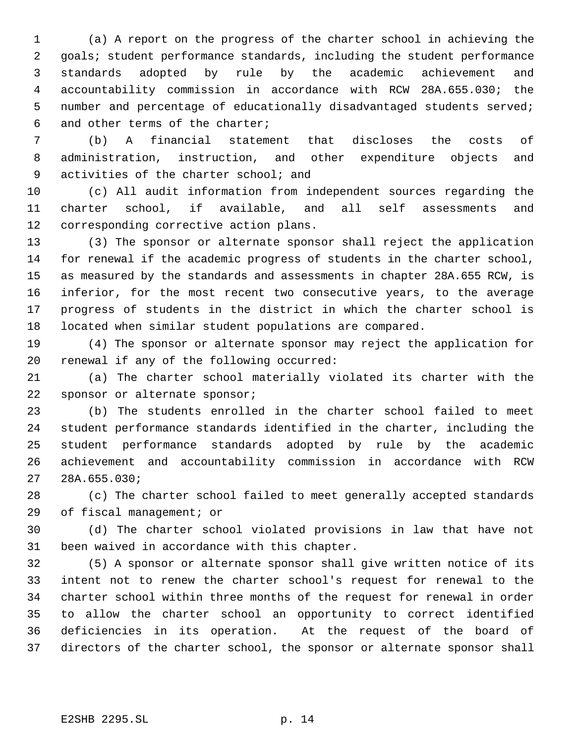(a) A report on the progress of the charter school in achieving the goals; student performance standards, including the student performance standards adopted by rule by the academic achievement and accountability commission in accordance with RCW 28A.655.030; the number and percentage of educationally disadvantaged students served; and other terms of the charter;

 (b) A financial statement that discloses the costs of administration, instruction, and other expenditure objects and activities of the charter school; and

 (c) All audit information from independent sources regarding the charter school, if available, and all self assessments and corresponding corrective action plans.

 (3) The sponsor or alternate sponsor shall reject the application for renewal if the academic progress of students in the charter school, as measured by the standards and assessments in chapter 28A.655 RCW, is inferior, for the most recent two consecutive years, to the average progress of students in the district in which the charter school is located when similar student populations are compared.

 (4) The sponsor or alternate sponsor may reject the application for renewal if any of the following occurred:

 (a) The charter school materially violated its charter with the sponsor or alternate sponsor;

 (b) The students enrolled in the charter school failed to meet student performance standards identified in the charter, including the student performance standards adopted by rule by the academic achievement and accountability commission in accordance with RCW 28A.655.030;

 (c) The charter school failed to meet generally accepted standards of fiscal management; or

 (d) The charter school violated provisions in law that have not been waived in accordance with this chapter.

 (5) A sponsor or alternate sponsor shall give written notice of its intent not to renew the charter school's request for renewal to the charter school within three months of the request for renewal in order to allow the charter school an opportunity to correct identified deficiencies in its operation. At the request of the board of directors of the charter school, the sponsor or alternate sponsor shall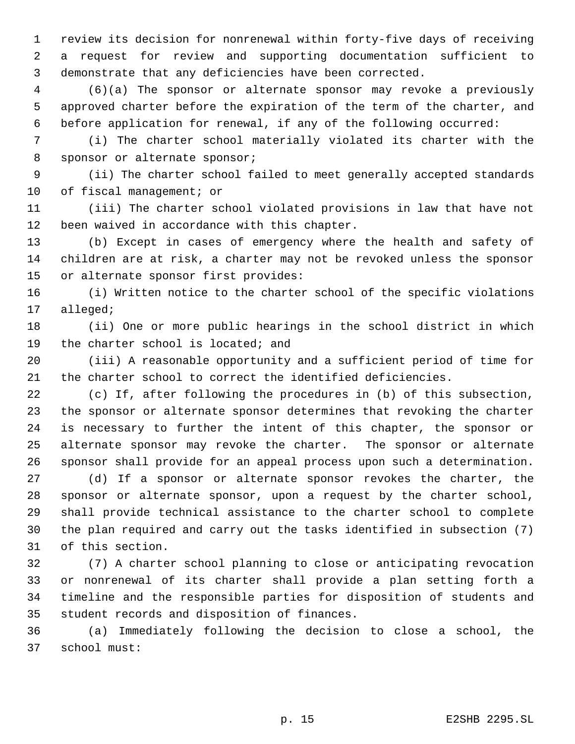review its decision for nonrenewal within forty-five days of receiving a request for review and supporting documentation sufficient to demonstrate that any deficiencies have been corrected.

 (6)(a) The sponsor or alternate sponsor may revoke a previously approved charter before the expiration of the term of the charter, and before application for renewal, if any of the following occurred:

 (i) The charter school materially violated its charter with the sponsor or alternate sponsor;

 (ii) The charter school failed to meet generally accepted standards 10 of fiscal management; or

 (iii) The charter school violated provisions in law that have not been waived in accordance with this chapter.

 (b) Except in cases of emergency where the health and safety of children are at risk, a charter may not be revoked unless the sponsor or alternate sponsor first provides:

 (i) Written notice to the charter school of the specific violations alleged;

 (ii) One or more public hearings in the school district in which 19 the charter school is located; and

 (iii) A reasonable opportunity and a sufficient period of time for the charter school to correct the identified deficiencies.

 (c) If, after following the procedures in (b) of this subsection, the sponsor or alternate sponsor determines that revoking the charter is necessary to further the intent of this chapter, the sponsor or alternate sponsor may revoke the charter. The sponsor or alternate sponsor shall provide for an appeal process upon such a determination.

 (d) If a sponsor or alternate sponsor revokes the charter, the sponsor or alternate sponsor, upon a request by the charter school, shall provide technical assistance to the charter school to complete the plan required and carry out the tasks identified in subsection (7) of this section.

 (7) A charter school planning to close or anticipating revocation or nonrenewal of its charter shall provide a plan setting forth a timeline and the responsible parties for disposition of students and student records and disposition of finances.

 (a) Immediately following the decision to close a school, the school must: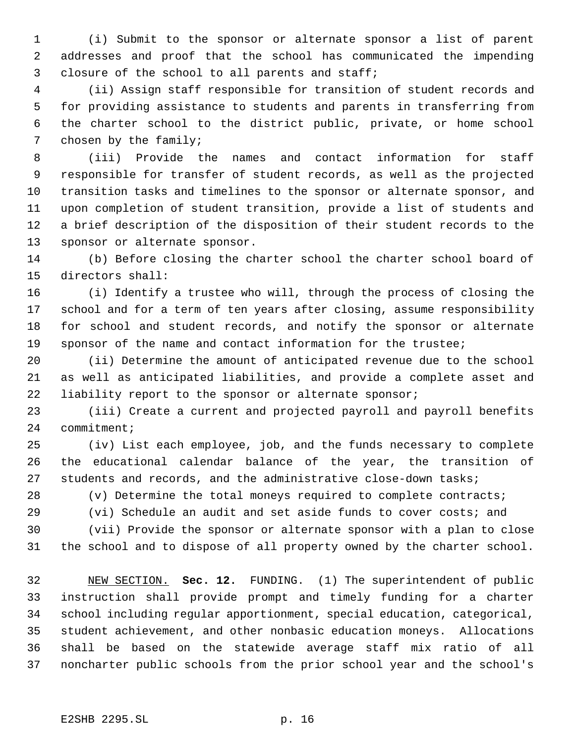(i) Submit to the sponsor or alternate sponsor a list of parent addresses and proof that the school has communicated the impending 3 closure of the school to all parents and staff;

 (ii) Assign staff responsible for transition of student records and for providing assistance to students and parents in transferring from the charter school to the district public, private, or home school chosen by the family;

 (iii) Provide the names and contact information for staff responsible for transfer of student records, as well as the projected transition tasks and timelines to the sponsor or alternate sponsor, and upon completion of student transition, provide a list of students and a brief description of the disposition of their student records to the sponsor or alternate sponsor.

 (b) Before closing the charter school the charter school board of directors shall:

 (i) Identify a trustee who will, through the process of closing the school and for a term of ten years after closing, assume responsibility for school and student records, and notify the sponsor or alternate sponsor of the name and contact information for the trustee;

 (ii) Determine the amount of anticipated revenue due to the school as well as anticipated liabilities, and provide a complete asset and liability report to the sponsor or alternate sponsor;

 (iii) Create a current and projected payroll and payroll benefits 24 commitment;

 (iv) List each employee, job, and the funds necessary to complete the educational calendar balance of the year, the transition of students and records, and the administrative close-down tasks;

(v) Determine the total moneys required to complete contracts;

(vi) Schedule an audit and set aside funds to cover costs; and

 (vii) Provide the sponsor or alternate sponsor with a plan to close the school and to dispose of all property owned by the charter school.

 NEW SECTION. **Sec. 12.** FUNDING. (1) The superintendent of public instruction shall provide prompt and timely funding for a charter school including regular apportionment, special education, categorical, student achievement, and other nonbasic education moneys. Allocations shall be based on the statewide average staff mix ratio of all noncharter public schools from the prior school year and the school's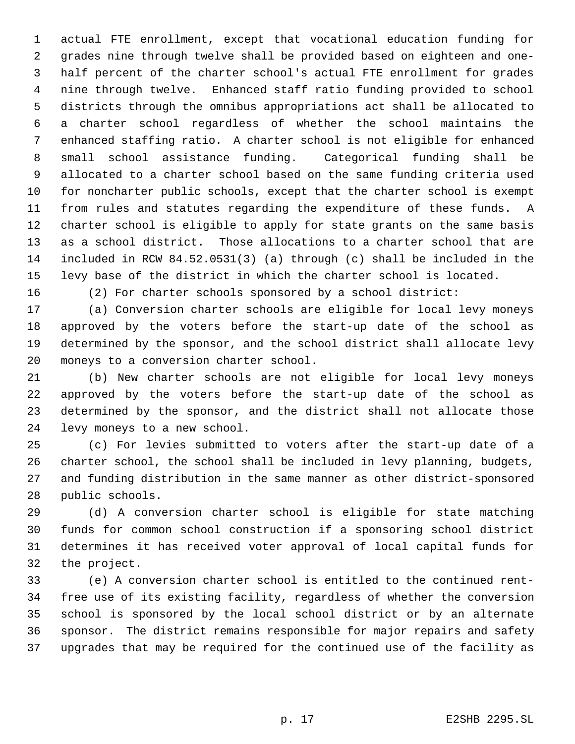actual FTE enrollment, except that vocational education funding for grades nine through twelve shall be provided based on eighteen and one- half percent of the charter school's actual FTE enrollment for grades nine through twelve. Enhanced staff ratio funding provided to school districts through the omnibus appropriations act shall be allocated to a charter school regardless of whether the school maintains the enhanced staffing ratio. A charter school is not eligible for enhanced small school assistance funding. Categorical funding shall be allocated to a charter school based on the same funding criteria used for noncharter public schools, except that the charter school is exempt from rules and statutes regarding the expenditure of these funds. A charter school is eligible to apply for state grants on the same basis as a school district. Those allocations to a charter school that are included in RCW 84.52.0531(3) (a) through (c) shall be included in the levy base of the district in which the charter school is located.

(2) For charter schools sponsored by a school district:

 (a) Conversion charter schools are eligible for local levy moneys approved by the voters before the start-up date of the school as determined by the sponsor, and the school district shall allocate levy moneys to a conversion charter school.

 (b) New charter schools are not eligible for local levy moneys approved by the voters before the start-up date of the school as determined by the sponsor, and the district shall not allocate those levy moneys to a new school.

 (c) For levies submitted to voters after the start-up date of a charter school, the school shall be included in levy planning, budgets, and funding distribution in the same manner as other district-sponsored public schools.

 (d) A conversion charter school is eligible for state matching funds for common school construction if a sponsoring school district determines it has received voter approval of local capital funds for the project.

 (e) A conversion charter school is entitled to the continued rent- free use of its existing facility, regardless of whether the conversion school is sponsored by the local school district or by an alternate sponsor. The district remains responsible for major repairs and safety upgrades that may be required for the continued use of the facility as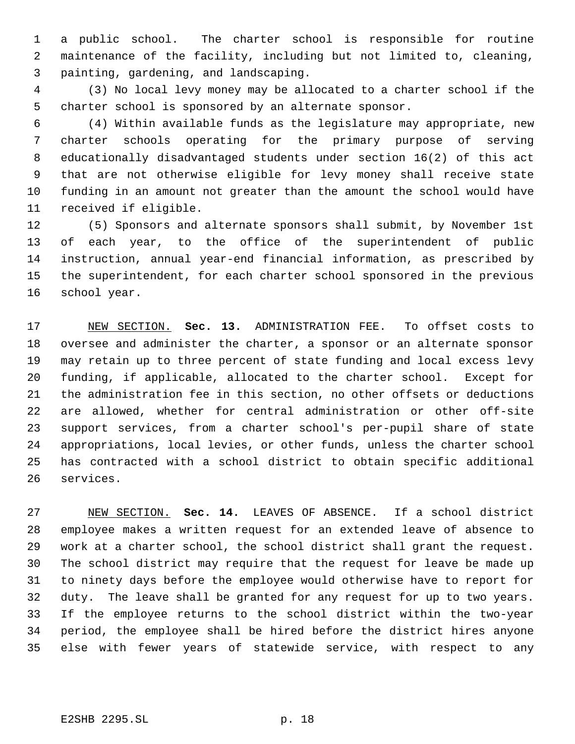a public school. The charter school is responsible for routine maintenance of the facility, including but not limited to, cleaning, painting, gardening, and landscaping.

 (3) No local levy money may be allocated to a charter school if the charter school is sponsored by an alternate sponsor.

 (4) Within available funds as the legislature may appropriate, new charter schools operating for the primary purpose of serving educationally disadvantaged students under section 16(2) of this act that are not otherwise eligible for levy money shall receive state funding in an amount not greater than the amount the school would have received if eligible.

 (5) Sponsors and alternate sponsors shall submit, by November 1st of each year, to the office of the superintendent of public instruction, annual year-end financial information, as prescribed by the superintendent, for each charter school sponsored in the previous school year.

 NEW SECTION. **Sec. 13.** ADMINISTRATION FEE. To offset costs to oversee and administer the charter, a sponsor or an alternate sponsor may retain up to three percent of state funding and local excess levy funding, if applicable, allocated to the charter school. Except for the administration fee in this section, no other offsets or deductions are allowed, whether for central administration or other off-site support services, from a charter school's per-pupil share of state appropriations, local levies, or other funds, unless the charter school has contracted with a school district to obtain specific additional services.

 NEW SECTION. **Sec. 14.** LEAVES OF ABSENCE. If a school district employee makes a written request for an extended leave of absence to work at a charter school, the school district shall grant the request. The school district may require that the request for leave be made up to ninety days before the employee would otherwise have to report for duty. The leave shall be granted for any request for up to two years. If the employee returns to the school district within the two-year period, the employee shall be hired before the district hires anyone else with fewer years of statewide service, with respect to any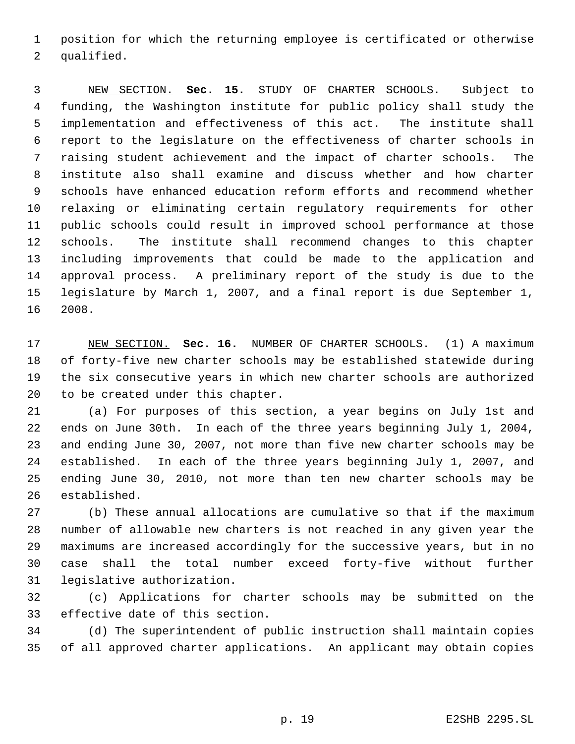position for which the returning employee is certificated or otherwise qualified.

 NEW SECTION. **Sec. 15.** STUDY OF CHARTER SCHOOLS. Subject to funding, the Washington institute for public policy shall study the implementation and effectiveness of this act. The institute shall report to the legislature on the effectiveness of charter schools in raising student achievement and the impact of charter schools. The institute also shall examine and discuss whether and how charter schools have enhanced education reform efforts and recommend whether relaxing or eliminating certain regulatory requirements for other public schools could result in improved school performance at those schools. The institute shall recommend changes to this chapter including improvements that could be made to the application and approval process. A preliminary report of the study is due to the legislature by March 1, 2007, and a final report is due September 1, 2008.

 NEW SECTION. **Sec. 16.** NUMBER OF CHARTER SCHOOLS. (1) A maximum of forty-five new charter schools may be established statewide during the six consecutive years in which new charter schools are authorized to be created under this chapter.

 (a) For purposes of this section, a year begins on July 1st and ends on June 30th. In each of the three years beginning July 1, 2004, and ending June 30, 2007, not more than five new charter schools may be established. In each of the three years beginning July 1, 2007, and ending June 30, 2010, not more than ten new charter schools may be established.

 (b) These annual allocations are cumulative so that if the maximum number of allowable new charters is not reached in any given year the maximums are increased accordingly for the successive years, but in no case shall the total number exceed forty-five without further legislative authorization.

 (c) Applications for charter schools may be submitted on the effective date of this section.

 (d) The superintendent of public instruction shall maintain copies of all approved charter applications. An applicant may obtain copies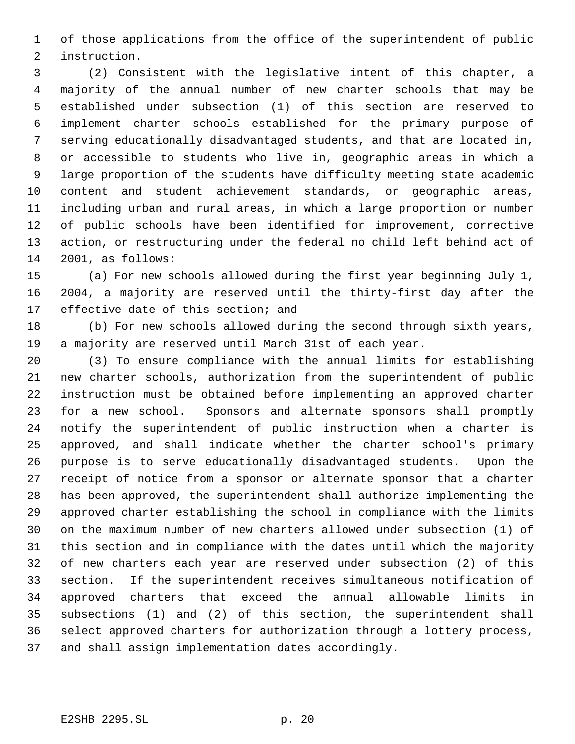of those applications from the office of the superintendent of public instruction.

 (2) Consistent with the legislative intent of this chapter, a majority of the annual number of new charter schools that may be established under subsection (1) of this section are reserved to implement charter schools established for the primary purpose of serving educationally disadvantaged students, and that are located in, or accessible to students who live in, geographic areas in which a large proportion of the students have difficulty meeting state academic content and student achievement standards, or geographic areas, including urban and rural areas, in which a large proportion or number of public schools have been identified for improvement, corrective action, or restructuring under the federal no child left behind act of 2001, as follows:

 (a) For new schools allowed during the first year beginning July 1, 2004, a majority are reserved until the thirty-first day after the effective date of this section; and

 (b) For new schools allowed during the second through sixth years, a majority are reserved until March 31st of each year.

 (3) To ensure compliance with the annual limits for establishing new charter schools, authorization from the superintendent of public instruction must be obtained before implementing an approved charter for a new school. Sponsors and alternate sponsors shall promptly notify the superintendent of public instruction when a charter is approved, and shall indicate whether the charter school's primary purpose is to serve educationally disadvantaged students. Upon the receipt of notice from a sponsor or alternate sponsor that a charter has been approved, the superintendent shall authorize implementing the approved charter establishing the school in compliance with the limits on the maximum number of new charters allowed under subsection (1) of this section and in compliance with the dates until which the majority of new charters each year are reserved under subsection (2) of this section. If the superintendent receives simultaneous notification of approved charters that exceed the annual allowable limits in subsections (1) and (2) of this section, the superintendent shall select approved charters for authorization through a lottery process, and shall assign implementation dates accordingly.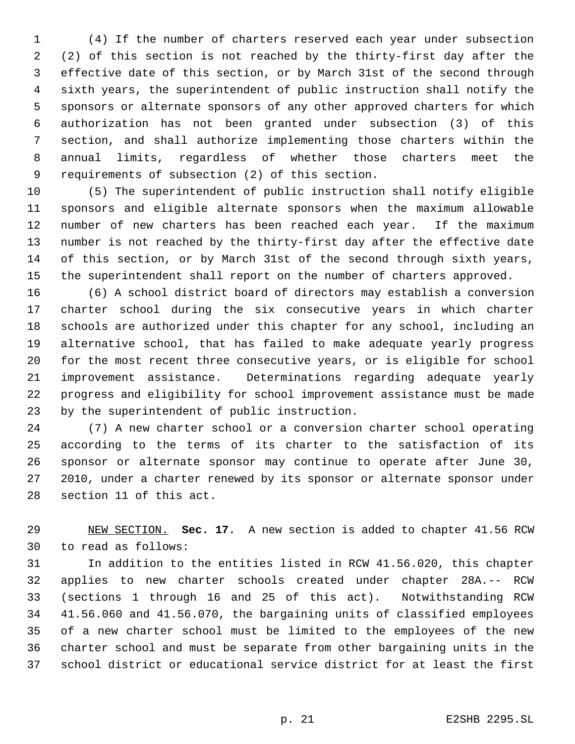(4) If the number of charters reserved each year under subsection (2) of this section is not reached by the thirty-first day after the effective date of this section, or by March 31st of the second through sixth years, the superintendent of public instruction shall notify the sponsors or alternate sponsors of any other approved charters for which authorization has not been granted under subsection (3) of this section, and shall authorize implementing those charters within the annual limits, regardless of whether those charters meet the requirements of subsection (2) of this section.

 (5) The superintendent of public instruction shall notify eligible sponsors and eligible alternate sponsors when the maximum allowable number of new charters has been reached each year. If the maximum number is not reached by the thirty-first day after the effective date of this section, or by March 31st of the second through sixth years, the superintendent shall report on the number of charters approved.

 (6) A school district board of directors may establish a conversion charter school during the six consecutive years in which charter schools are authorized under this chapter for any school, including an alternative school, that has failed to make adequate yearly progress for the most recent three consecutive years, or is eligible for school improvement assistance. Determinations regarding adequate yearly progress and eligibility for school improvement assistance must be made by the superintendent of public instruction.

 (7) A new charter school or a conversion charter school operating according to the terms of its charter to the satisfaction of its sponsor or alternate sponsor may continue to operate after June 30, 2010, under a charter renewed by its sponsor or alternate sponsor under section 11 of this act.

 NEW SECTION. **Sec. 17.** A new section is added to chapter 41.56 RCW to read as follows:

 In addition to the entities listed in RCW 41.56.020, this chapter applies to new charter schools created under chapter 28A.-- RCW (sections 1 through 16 and 25 of this act). Notwithstanding RCW 41.56.060 and 41.56.070, the bargaining units of classified employees of a new charter school must be limited to the employees of the new charter school and must be separate from other bargaining units in the school district or educational service district for at least the first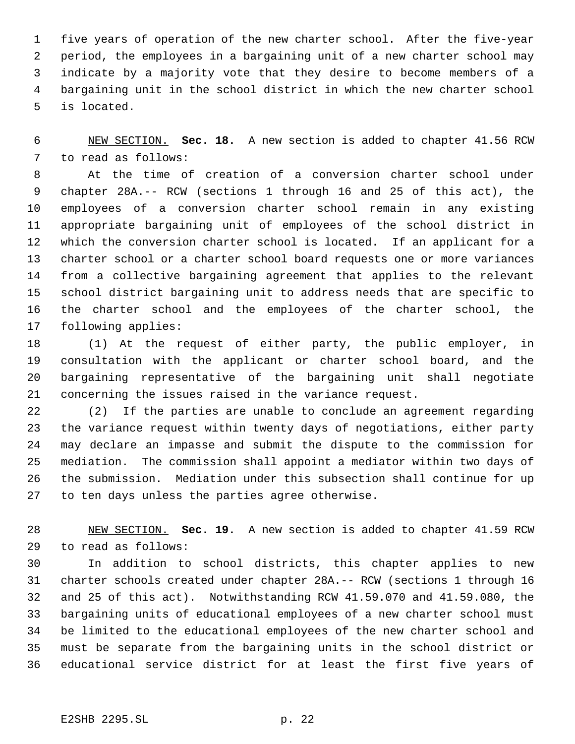five years of operation of the new charter school. After the five-year period, the employees in a bargaining unit of a new charter school may indicate by a majority vote that they desire to become members of a bargaining unit in the school district in which the new charter school is located.

 NEW SECTION. **Sec. 18.** A new section is added to chapter 41.56 RCW to read as follows:

 At the time of creation of a conversion charter school under chapter 28A.-- RCW (sections 1 through 16 and 25 of this act), the employees of a conversion charter school remain in any existing appropriate bargaining unit of employees of the school district in which the conversion charter school is located. If an applicant for a charter school or a charter school board requests one or more variances from a collective bargaining agreement that applies to the relevant school district bargaining unit to address needs that are specific to the charter school and the employees of the charter school, the following applies:

 (1) At the request of either party, the public employer, in consultation with the applicant or charter school board, and the bargaining representative of the bargaining unit shall negotiate concerning the issues raised in the variance request.

 (2) If the parties are unable to conclude an agreement regarding the variance request within twenty days of negotiations, either party may declare an impasse and submit the dispute to the commission for mediation. The commission shall appoint a mediator within two days of the submission. Mediation under this subsection shall continue for up to ten days unless the parties agree otherwise.

 NEW SECTION. **Sec. 19.** A new section is added to chapter 41.59 RCW to read as follows:

 In addition to school districts, this chapter applies to new charter schools created under chapter 28A.-- RCW (sections 1 through 16 and 25 of this act). Notwithstanding RCW 41.59.070 and 41.59.080, the bargaining units of educational employees of a new charter school must be limited to the educational employees of the new charter school and must be separate from the bargaining units in the school district or educational service district for at least the first five years of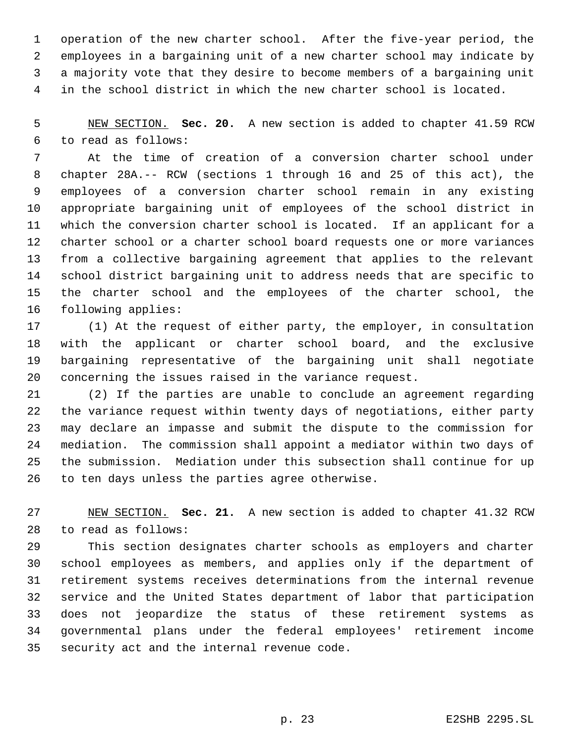operation of the new charter school. After the five-year period, the employees in a bargaining unit of a new charter school may indicate by a majority vote that they desire to become members of a bargaining unit in the school district in which the new charter school is located.

 NEW SECTION. **Sec. 20.** A new section is added to chapter 41.59 RCW to read as follows:

 At the time of creation of a conversion charter school under chapter 28A.-- RCW (sections 1 through 16 and 25 of this act), the employees of a conversion charter school remain in any existing appropriate bargaining unit of employees of the school district in which the conversion charter school is located. If an applicant for a charter school or a charter school board requests one or more variances from a collective bargaining agreement that applies to the relevant school district bargaining unit to address needs that are specific to the charter school and the employees of the charter school, the following applies:

 (1) At the request of either party, the employer, in consultation with the applicant or charter school board, and the exclusive bargaining representative of the bargaining unit shall negotiate concerning the issues raised in the variance request.

 (2) If the parties are unable to conclude an agreement regarding the variance request within twenty days of negotiations, either party may declare an impasse and submit the dispute to the commission for mediation. The commission shall appoint a mediator within two days of the submission. Mediation under this subsection shall continue for up to ten days unless the parties agree otherwise.

 NEW SECTION. **Sec. 21.** A new section is added to chapter 41.32 RCW to read as follows:

 This section designates charter schools as employers and charter school employees as members, and applies only if the department of retirement systems receives determinations from the internal revenue service and the United States department of labor that participation does not jeopardize the status of these retirement systems as governmental plans under the federal employees' retirement income security act and the internal revenue code.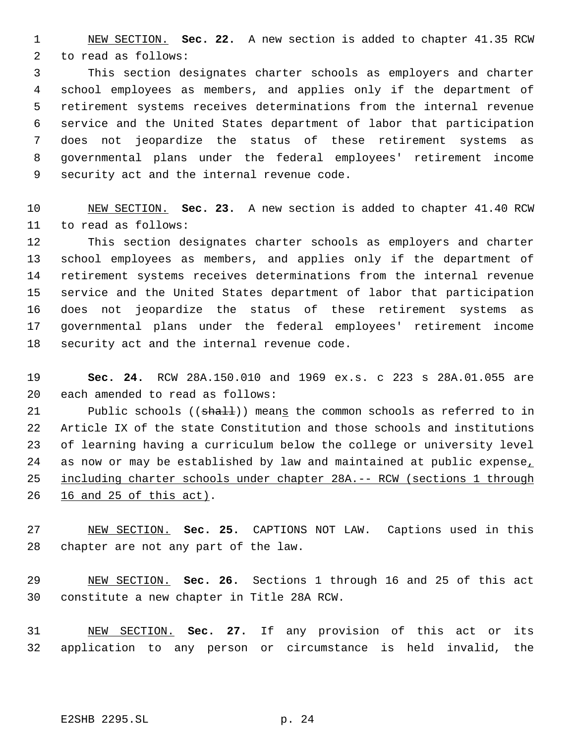NEW SECTION. **Sec. 22.** A new section is added to chapter 41.35 RCW to read as follows:

 This section designates charter schools as employers and charter school employees as members, and applies only if the department of retirement systems receives determinations from the internal revenue service and the United States department of labor that participation does not jeopardize the status of these retirement systems as governmental plans under the federal employees' retirement income security act and the internal revenue code.

 NEW SECTION. **Sec. 23.** A new section is added to chapter 41.40 RCW to read as follows:

 This section designates charter schools as employers and charter school employees as members, and applies only if the department of retirement systems receives determinations from the internal revenue service and the United States department of labor that participation does not jeopardize the status of these retirement systems as governmental plans under the federal employees' retirement income security act and the internal revenue code.

 **Sec. 24.** RCW 28A.150.010 and 1969 ex.s. c 223 s 28A.01.055 are each amended to read as follows:

21 Public schools ((shall)) means the common schools as referred to in Article IX of the state Constitution and those schools and institutions of learning having a curriculum below the college or university level 24 as now or may be established by law and maintained at public expense, including charter schools under chapter 28A.-- RCW (sections 1 through 16 and 25 of this act).

 NEW SECTION. **Sec. 25.** CAPTIONS NOT LAW. Captions used in this chapter are not any part of the law.

 NEW SECTION. **Sec. 26.** Sections 1 through 16 and 25 of this act constitute a new chapter in Title 28A RCW.

 NEW SECTION. **Sec. 27.** If any provision of this act or its application to any person or circumstance is held invalid, the

E2SHB 2295.SL p. 24